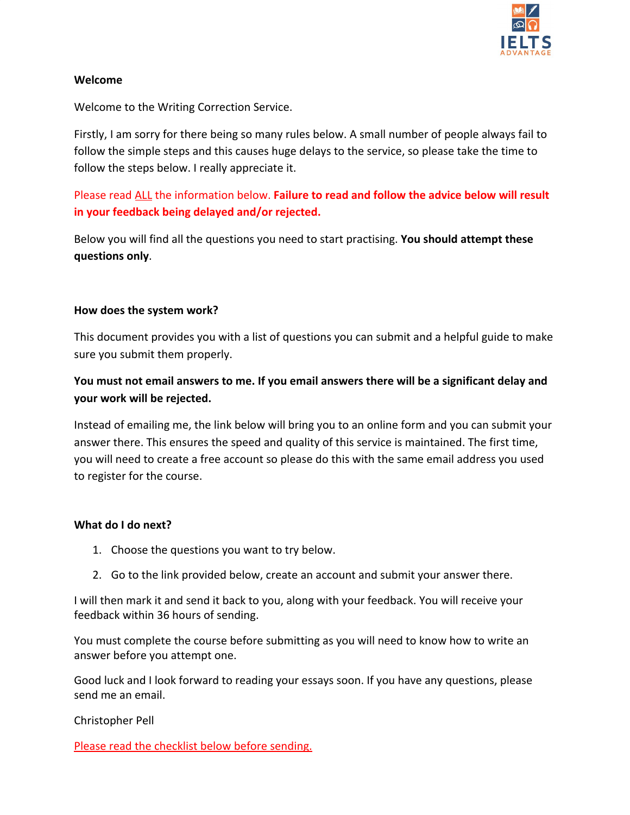

## **Welcome**

Welcome to the Writing Correction Service.

Firstly, I am sorry for there being so many rules below. A small number of people always fail to follow the simple steps and this causes huge delays to the service, so please take the time to follow the steps below. I really appreciate it.

Please read ALL the information below. **Failure to read and follow the advice below will result in your feedback being delayed and/or rejected.**

Below you will find all the questions you need to start practising. **You should attempt these questions only**.

## **How does the system work?**

This document provides you with a list of questions you can submit and a helpful guide to make sure you submit them properly.

**You must not email answers to me. If you email answers there will be a significant delay and your work will be rejected.**

Instead of emailing me, the link below will bring you to an online form and you can submit your answer there. This ensures the speed and quality of this service is maintained. The first time, you will need to create a free account so please do this with the same email address you used to register for the course.

# **What do I do next?**

- 1. Choose the questions you want to try below.
- 2. Go to the link provided below, create an account and submit your answer there.

I will then mark it and send it back to you, along with your feedback. You will receive your feedback within 36 hours of sending.

You must complete the course before submitting as you will need to know how to write an answer before you attempt one.

Good luck and I look forward to reading your essays soon. If you have any questions, please send me an email.

Christopher Pell

Please read the checklist below before sending.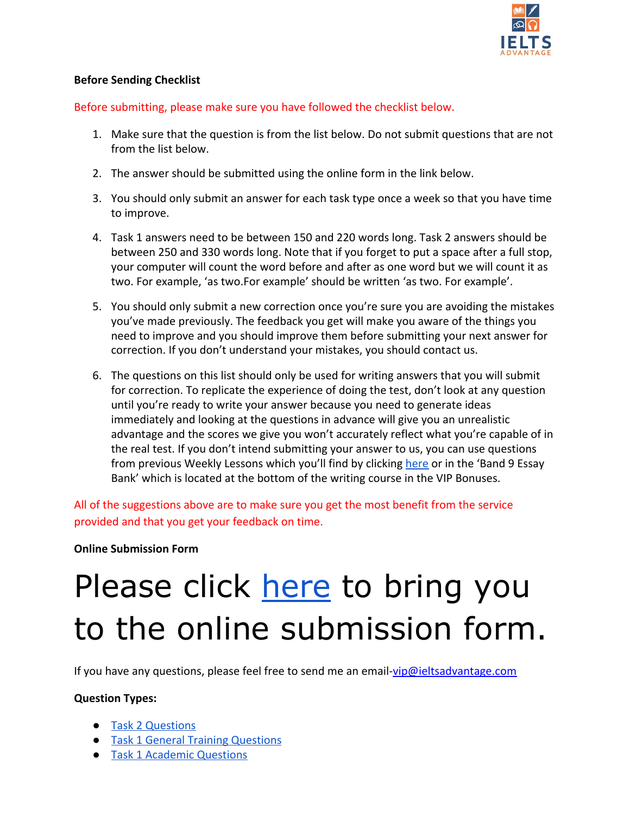

# **Before Sending Checklist**

Before submitting, please make sure you have followed the checklist below.

- 1. Make sure that the question is from the list below. Do not submit questions that are not from the list below.
- 2. The answer should be submitted using the online form in the link below.
- 3. You should only submit an answer for each task type once a week so that you have time to improve.
- 4. Task 1 answers need to be between 150 and 220 words long. Task 2 answers should be between 250 and 330 words long. Note that if you forget to put a space after a full stop, your computer will count the word before and after as one word but we will count it as two. For example, 'as two.For example' should be written 'as two. For example'.
- 5. You should only submit a new correction once you're sure you are avoiding the mistakes you've made previously. The feedback you get will make you aware of the things you need to improve and you should improve them before submitting your next answer for correction. If you don't understand your mistakes, you should contact us.
- 6. The questions on this list should only be used for writing answers that you will submit for correction. To replicate the experience of doing the test, don't look at any question until you're ready to write your answer because you need to generate ideas immediately and looking at the questions in advance will give you an unrealistic advantage and the scores we give you won't accurately reflect what you're capable of in the real test. If you don't intend submitting your answer to us, you can use questions from previous Weekly Lessons which you'll find by clicking [here](https://clicks.aweber.com/y/ct/?l=92V2K&m=ga07f7hMeWe7miI&b=bbT8p3kFZrj4BB2f2W0wZQ) or in the 'Band 9 Essay Bank' which is located at the bottom of the writing course in the VIP Bonuses.

All of the suggestions above are to make sure you get the most benefit from the service provided and that you get your feedback on time.

# **Online Submission Form**

# Please click [here](https://advantageexamprep.submittable.com/submit/150747/unlimited-students) to bring you to the online submission form.

If you have any questions, please feel free to send me an email-[vip@ieltsadvantage.com](mailto:vip@ieltsadvantage.com)

#### **Question Types:**

- [Task 2 Questions](#page-2-0)
- [Task 1 General Training Questions](#page-7-0)
- [Task 1 Academic Questions](#page-10-0)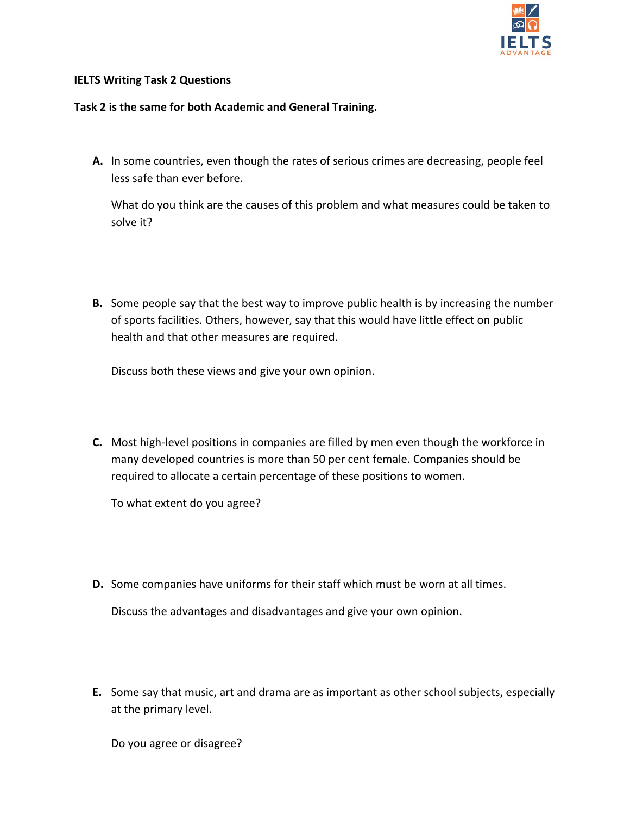

#### <span id="page-2-0"></span>**IELTS Writing Task 2 Questions**

#### **Task 2 is the same for both Academic and General Training.**

**A.** In some countries, even though the rates of serious crimes are decreasing, people feel less safe than ever before.

What do you think are the causes of this problem and what measures could be taken to solve it?

**B.** Some people say that the best way to improve public health is by increasing the number of sports facilities. Others, however, say that this would have little effect on public health and that other measures are required.

Discuss both these views and give your own opinion.

**C.** Most high-level positions in companies are filled by men even though the workforce in many developed countries is more than 50 per cent female. Companies should be required to allocate a certain percentage of these positions to women.

To what extent do you agree?

**D.** Some companies have uniforms for their staff which must be worn at all times.

Discuss the advantages and disadvantages and give your own opinion.

**E.** Some say that music, art and drama are as important as other school subjects, especially at the primary level.

Do you agree or disagree?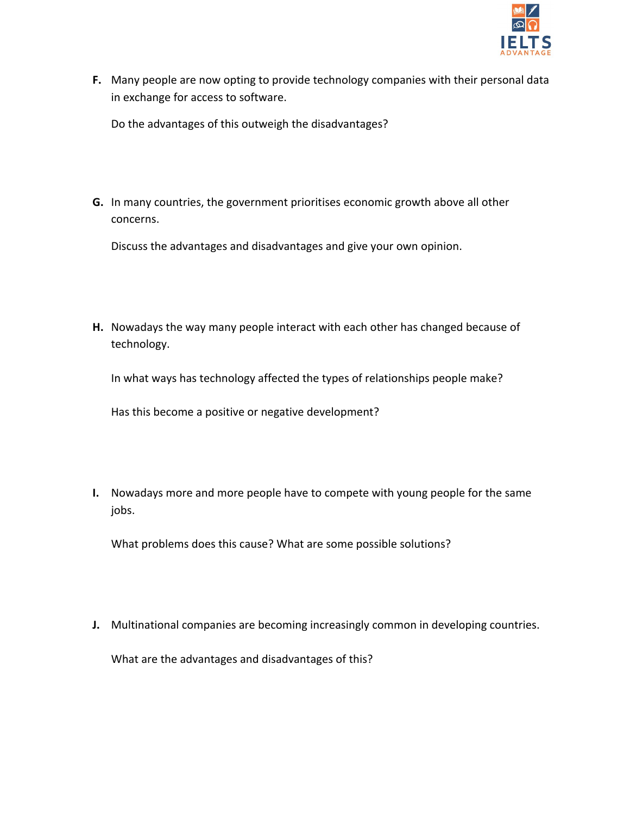

**F.** Many people are now opting to provide technology companies with their personal data in exchange for access to software.

Do the advantages of this outweigh the disadvantages?

**G.** In many countries, the government prioritises economic growth above all other concerns.

Discuss the advantages and disadvantages and give your own opinion.

**H.** Nowadays the way many people interact with each other has changed because of technology.

In what ways has technology affected the types of relationships people make?

Has this become a positive or negative development?

**I.** Nowadays more and more people have to compete with young people for the same jobs.

What problems does this cause? What are some possible solutions?

**J.** Multinational companies are becoming increasingly common in developing countries.

What are the advantages and disadvantages of this?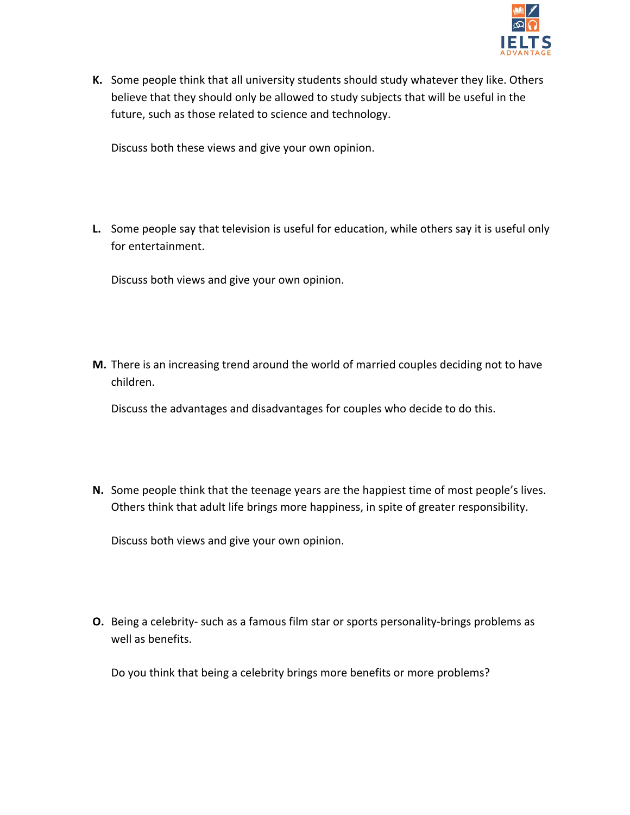

**K.** Some people think that all university students should study whatever they like. Others believe that they should only be allowed to study subjects that will be useful in the future, such as those related to science and technology.

Discuss both these views and give your own opinion.

**L.** Some people say that television is useful for education, while others say it is useful only for entertainment.

Discuss both views and give your own opinion.

**M.** There is an increasing trend around the world of married couples deciding not to have children.

Discuss the advantages and disadvantages for couples who decide to do this.

**N.** Some people think that the teenage years are the happiest time of most people's lives. Others think that adult life brings more happiness, in spite of greater responsibility.

Discuss both views and give your own opinion.

**O.** Being a celebrity- such as a famous film star or sports personality-brings problems as well as benefits.

Do you think that being a celebrity brings more benefits or more problems?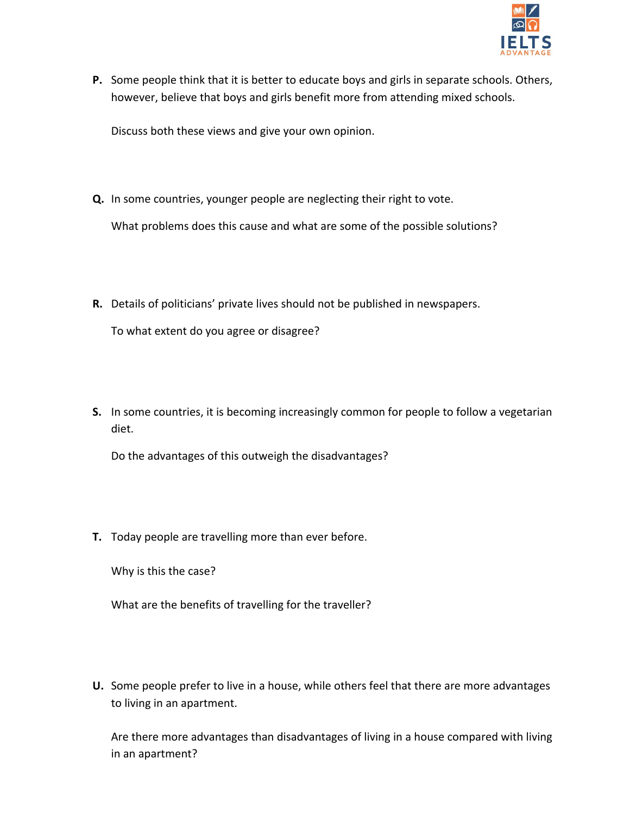

**P.** Some people think that it is better to educate boys and girls in separate schools. Others, however, believe that boys and girls benefit more from attending mixed schools.

Discuss both these views and give your own opinion.

**Q.** In some countries, younger people are neglecting their right to vote.

What problems does this cause and what are some of the possible solutions?

**R.** Details of politicians' private lives should not be published in newspapers.

To what extent do you agree or disagree?

**S.** In some countries, it is becoming increasingly common for people to follow a vegetarian diet.

Do the advantages of this outweigh the disadvantages?

**T.** Today people are travelling more than ever before.

Why is this the case?

What are the benefits of travelling for the traveller?

**U.** Some people prefer to live in a house, while others feel that there are more advantages to living in an apartment.

Are there more advantages than disadvantages of living in a house compared with living in an apartment?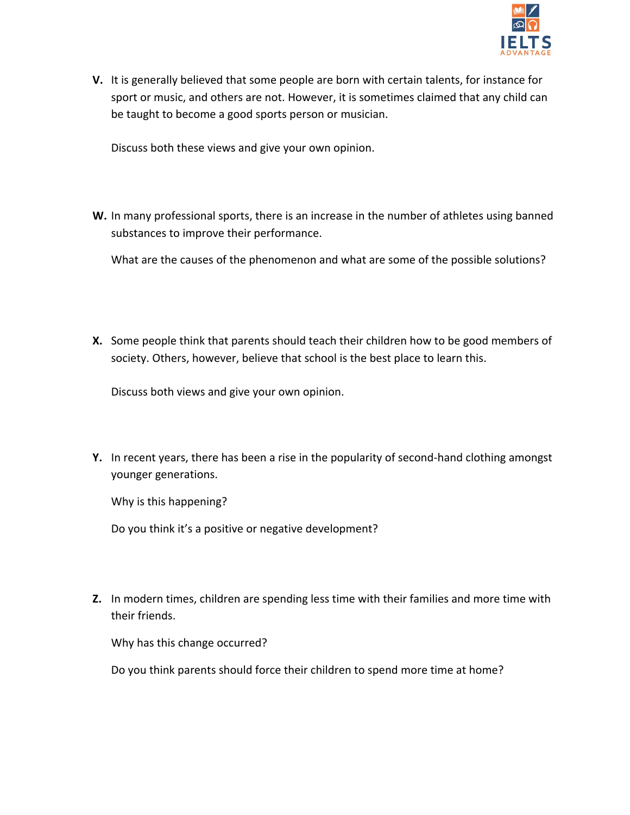

**V.** It is generally believed that some people are born with certain talents, for instance for sport or music, and others are not. However, it is sometimes claimed that any child can be taught to become a good sports person or musician.

Discuss both these views and give your own opinion.

**W.** In many professional sports, there is an increase in the number of athletes using banned substances to improve their performance.

What are the causes of the phenomenon and what are some of the possible solutions?

**X.** Some people think that parents should teach their children how to be good members of society. Others, however, believe that school is the best place to learn this.

Discuss both views and give your own opinion.

**Y.** In recent years, there has been a rise in the popularity of second-hand clothing amongst younger generations.

Why is this happening?

Do you think it's a positive or negative development?

**Z.** In modern times, children are spending less time with their families and more time with their friends.

Why has this change occurred?

Do you think parents should force their children to spend more time at home?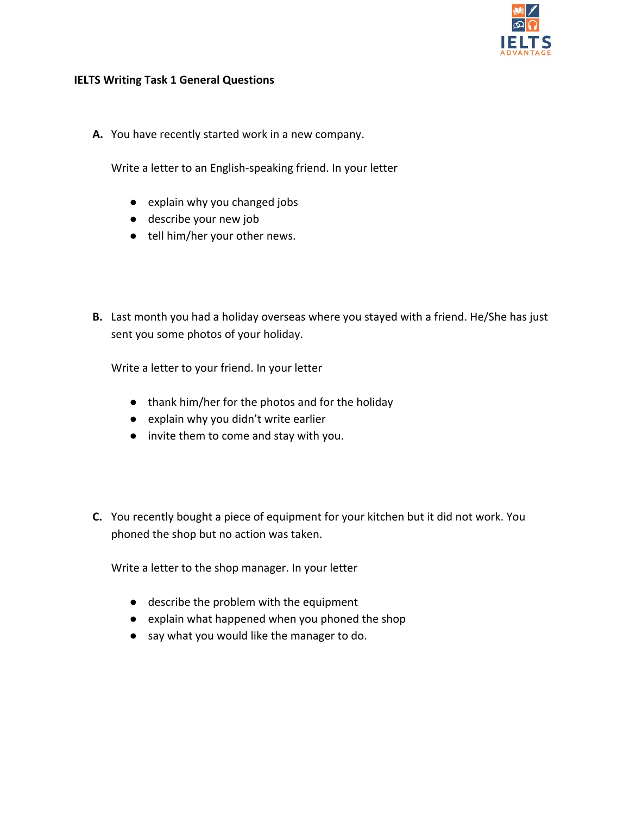

#### <span id="page-7-0"></span>**IELTS Writing Task 1 General Questions**

**A.** You have recently started work in a new company.

Write a letter to an English-speaking friend. In your letter

- explain why you changed jobs
- describe your new job
- tell him/her your other news.
- **B.** Last month you had a holiday overseas where you stayed with a friend. He/She has just sent you some photos of your holiday.

Write a letter to your friend. In your letter

- thank him/her for the photos and for the holiday
- explain why you didn't write earlier
- invite them to come and stay with you.
- **C.** You recently bought a piece of equipment for your kitchen but it did not work. You phoned the shop but no action was taken.

Write a letter to the shop manager. In your letter

- describe the problem with the equipment
- explain what happened when you phoned the shop
- say what you would like the manager to do.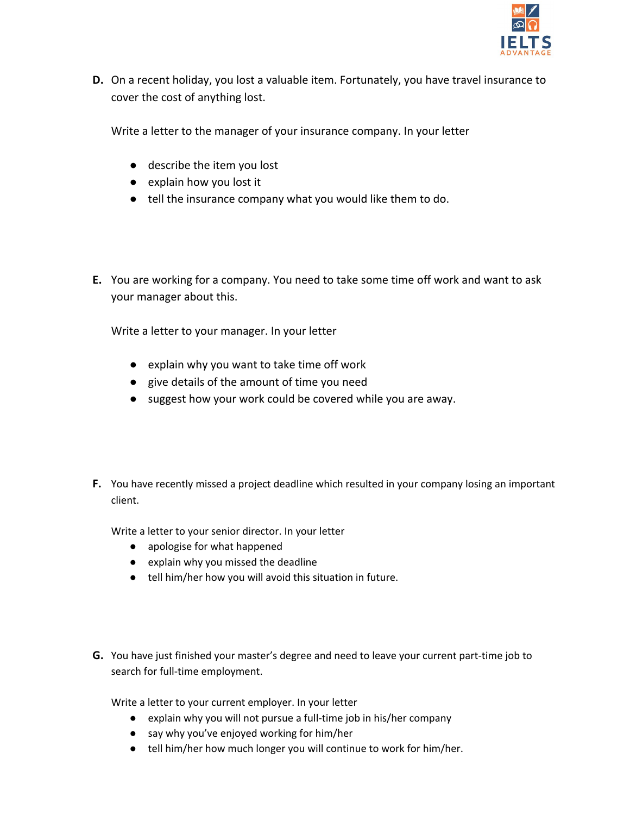

**D.** On a recent holiday, you lost a valuable item. Fortunately, you have travel insurance to cover the cost of anything lost.

Write a letter to the manager of your insurance company. In your letter

- describe the item you lost
- explain how you lost it
- tell the insurance company what you would like them to do.
- **E.** You are working for a company. You need to take some time off work and want to ask your manager about this.

Write a letter to your manager. In your letter

- explain why you want to take time off work
- give details of the amount of time you need
- suggest how your work could be covered while you are away.
- **F.** You have recently missed a project deadline which resulted in your company losing an important client.

Write a letter to your senior director. In your letter

- apologise for what happened
- explain why you missed the deadline
- tell him/her how you will avoid this situation in future.
- **G.** You have just finished your master's degree and need to leave your current part-time job to search for full-time employment.

Write a letter to your current employer. In your letter

- explain why you will not pursue a full-time job in his/her company
- say why you've enjoyed working for him/her
- tell him/her how much longer you will continue to work for him/her.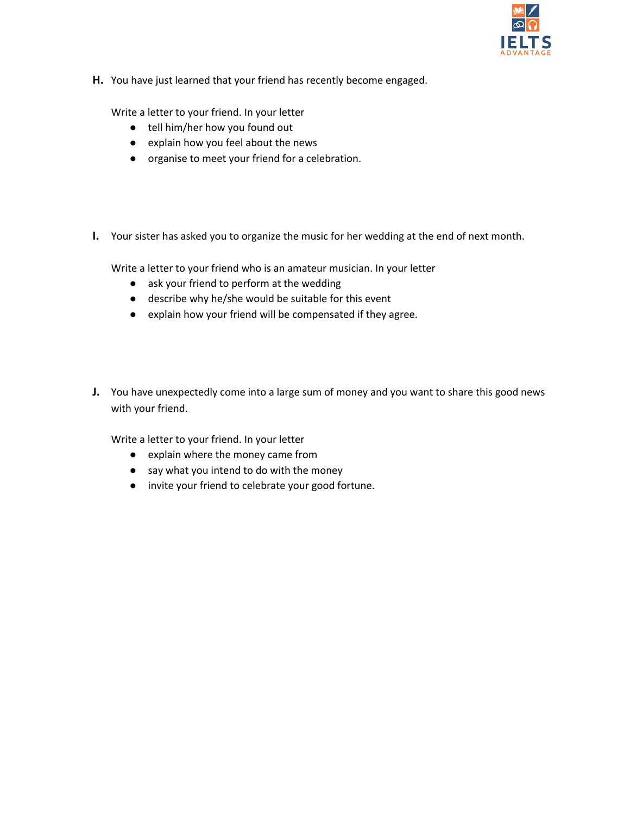

**H.** You have just learned that your friend has recently become engaged.

Write a letter to your friend. In your letter

- tell him/her how you found out
- explain how you feel about the news
- organise to meet your friend for a celebration.
- **I.** Your sister has asked you to organize the music for her wedding at the end of next month.

Write a letter to your friend who is an amateur musician. In your letter

- ask your friend to perform at the wedding
- describe why he/she would be suitable for this event
- explain how your friend will be compensated if they agree.
- **J.** You have unexpectedly come into a large sum of money and you want to share this good news with your friend.

Write a letter to your friend. In your letter

- explain where the money came from
- say what you intend to do with the money
- invite your friend to celebrate your good fortune.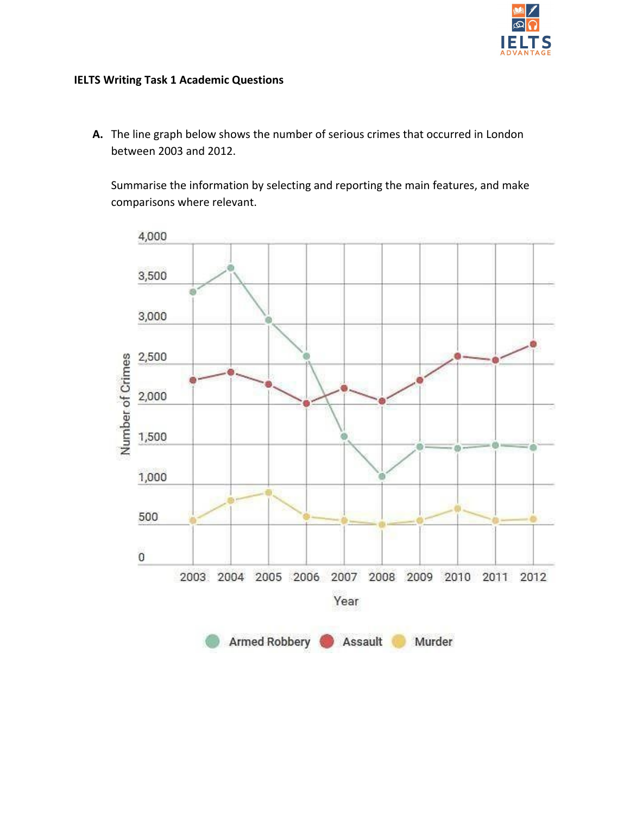

## <span id="page-10-0"></span>**IELTS Writing Task 1 Academic Questions**

**A.** The line graph below shows the number of serious crimes that occurred in London between 2003 and 2012.

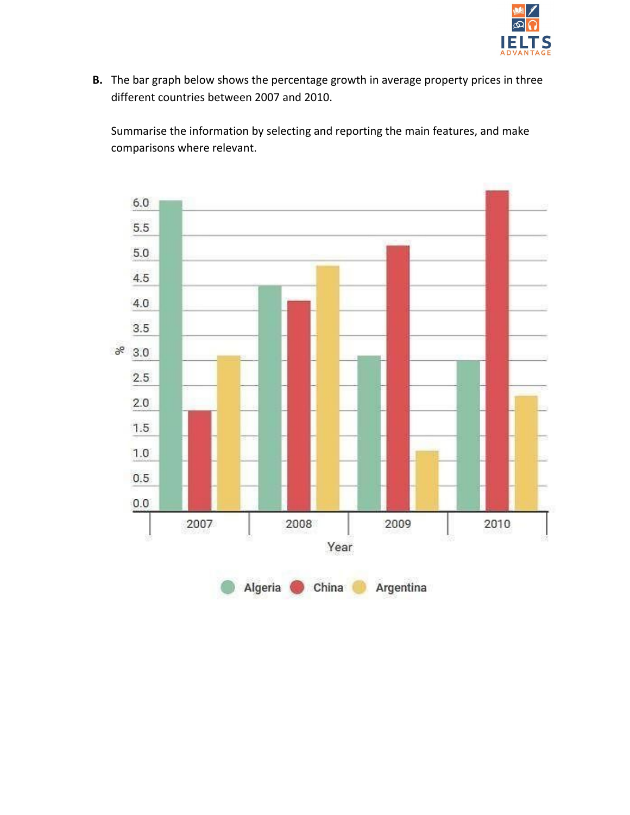

**B.** The bar graph below shows the percentage growth in average property prices in three different countries between 2007 and 2010.

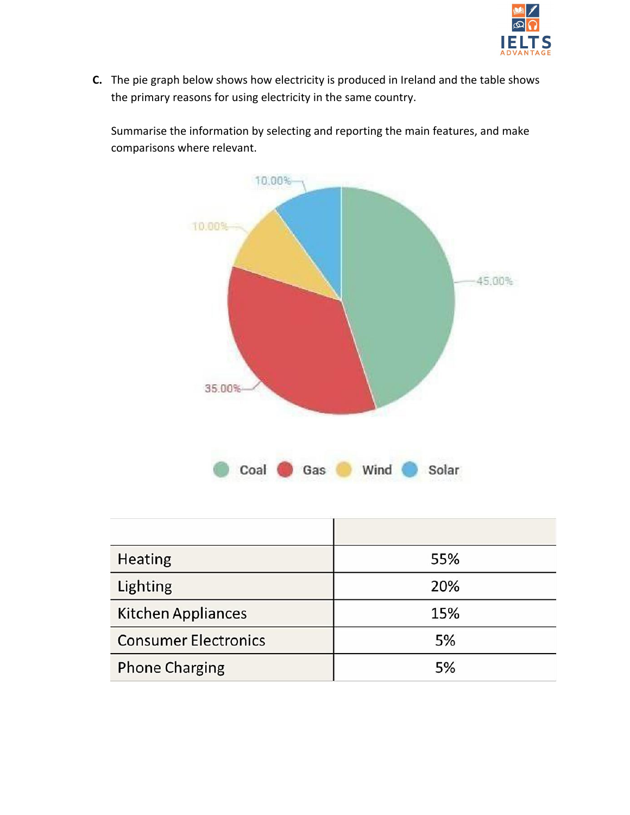

**C.** The pie graph below shows how electricity is produced in Ireland and the table shows the primary reasons for using electricity in the same country.



| Heating                     | 55% |
|-----------------------------|-----|
| Lighting                    | 20% |
| <b>Kitchen Appliances</b>   | 15% |
| <b>Consumer Electronics</b> | 5%  |
| <b>Phone Charging</b>       | 5%  |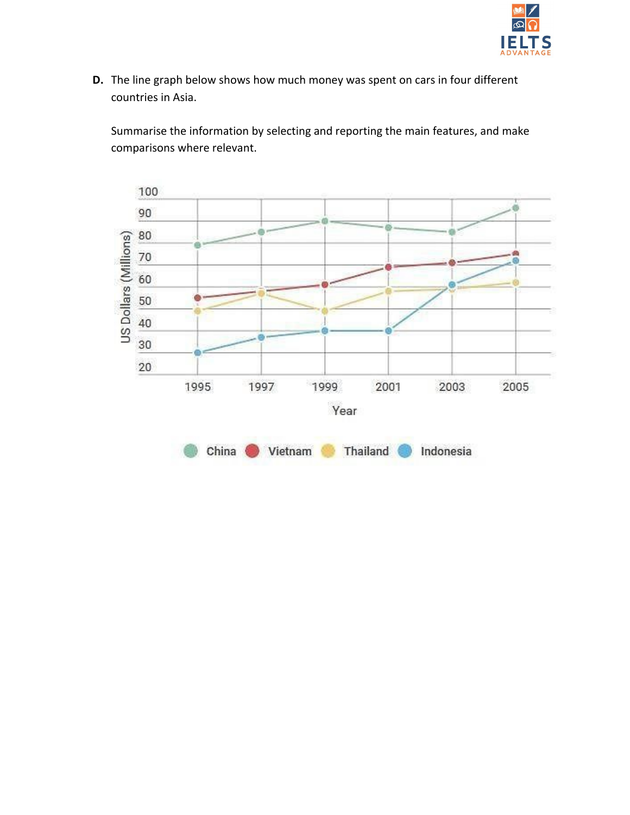

**D.** The line graph below shows how much money was spent on cars in four different countries in Asia.

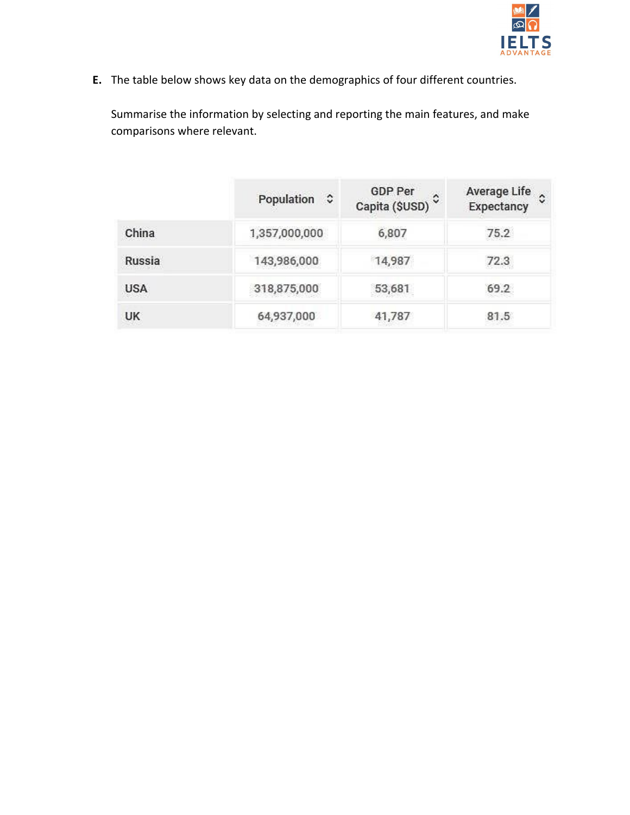

**E.** The table below shows key data on the demographics of four different countries.

|            | Population C  | <b>GDP Per</b><br>Capita (\$USD) <sup>C</sup> | <b>Average Life</b><br>Expectancy |
|------------|---------------|-----------------------------------------------|-----------------------------------|
| China      | 1,357,000,000 | 6,807                                         | 75.2                              |
| Russia     | 143,986,000   | 14,987                                        | 72.3                              |
| <b>USA</b> | 318,875,000   | 53,681                                        | 69.2                              |
| <b>UK</b>  | 64,937,000    | 41,787                                        | 81.5                              |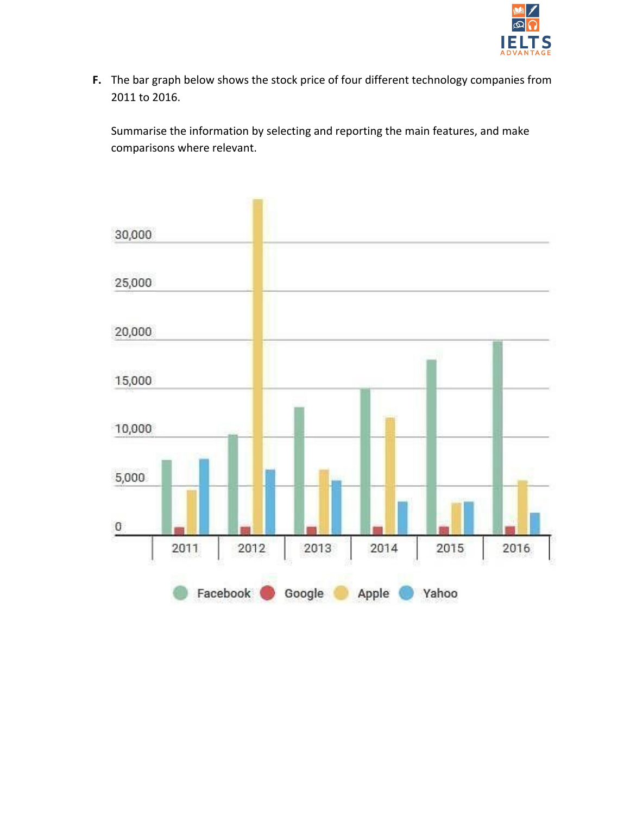

**F.** The bar graph below shows the stock price of four different technology companies from 2011 to 2016.

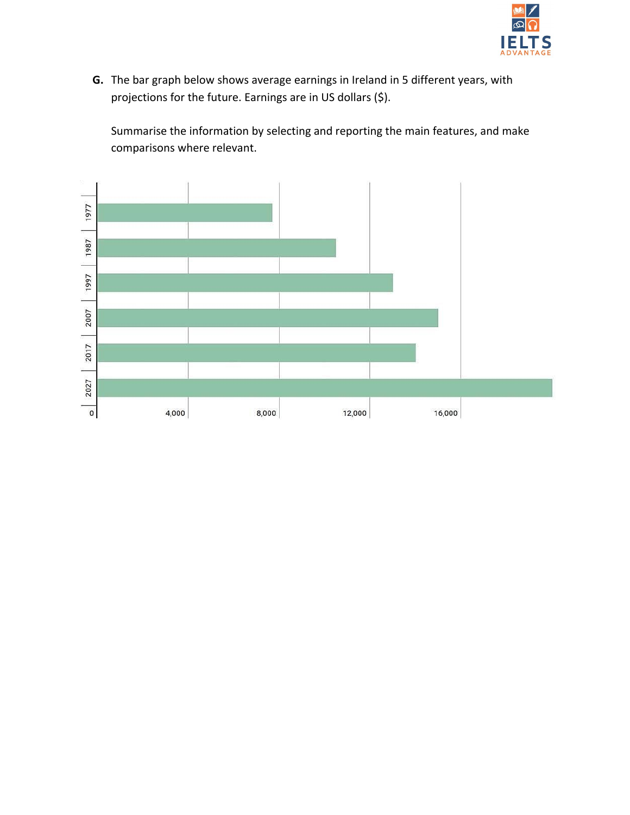

**G.** The bar graph below shows average earnings in Ireland in 5 different years, with projections for the future. Earnings are in US dollars (\$).

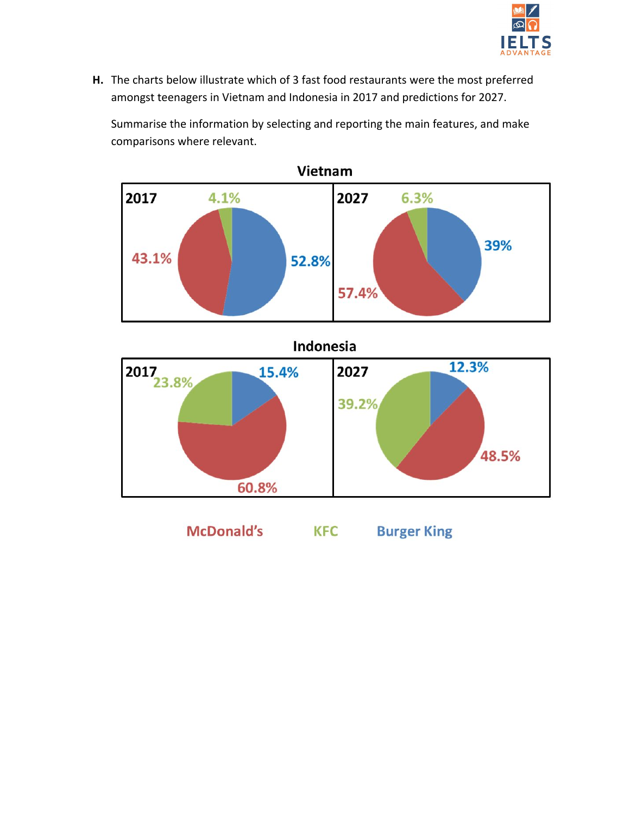

**H.** The charts below illustrate which of 3 fast food restaurants were the most preferred amongst teenagers in Vietnam and Indonesia in 2017 and predictions for 2027.

Summarise the information by selecting and reporting the main features, and make comparisons where relevant.



**McDonald's Burger King KFC**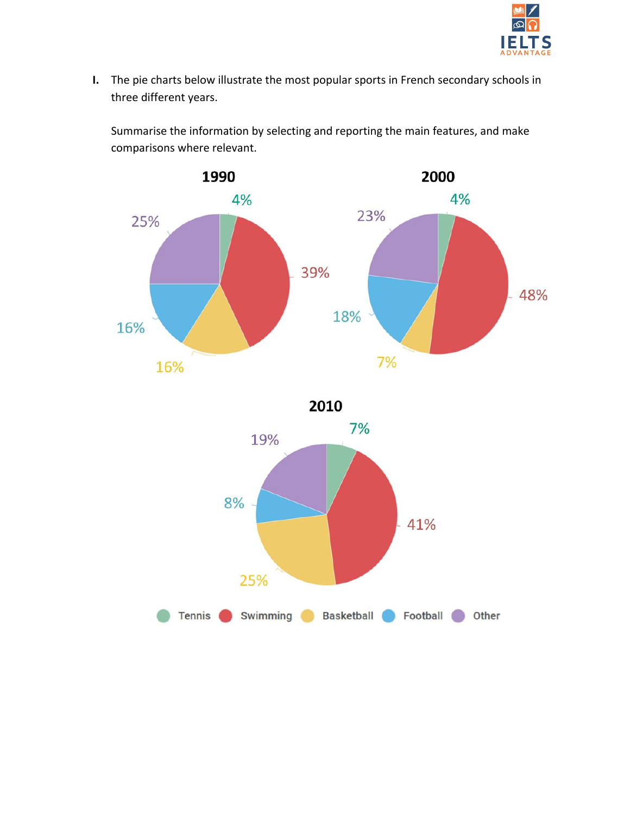

**I.** The pie charts below illustrate the most popular sports in French secondary schools in three different years.





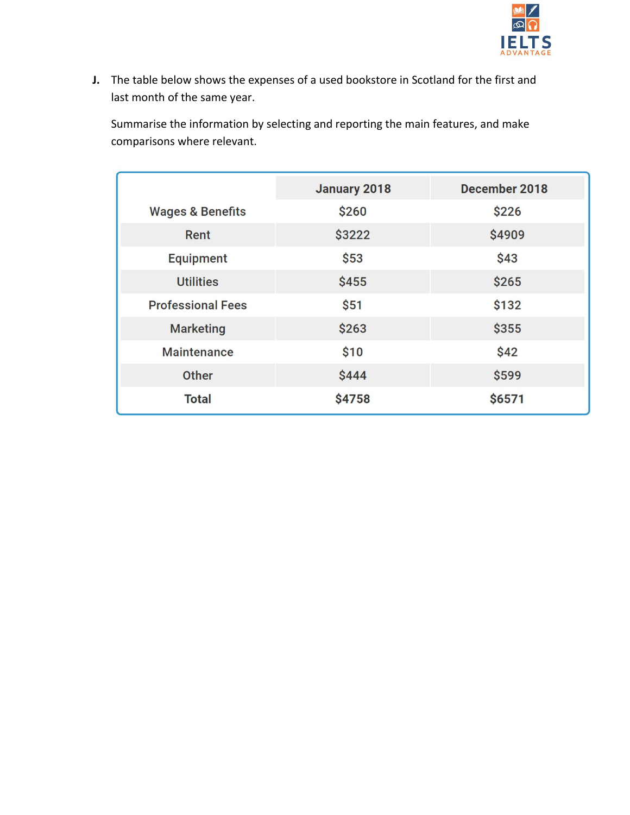

**J.** The table below shows the expenses of a used bookstore in Scotland for the first and last month of the same year.

|                             | January 2018 | December 2018 |
|-----------------------------|--------------|---------------|
| <b>Wages &amp; Benefits</b> | \$260        | \$226         |
| Rent                        | \$3222       | \$4909        |
| <b>Equipment</b>            | \$53         | \$43          |
| <b>Utilities</b>            | \$455        | \$265         |
| <b>Professional Fees</b>    | \$51         | \$132         |
| <b>Marketing</b>            | \$263        | \$355         |
| <b>Maintenance</b>          | \$10         | \$42          |
| Other                       | \$444        | \$599         |
| <b>Total</b>                | \$4758       | \$6571        |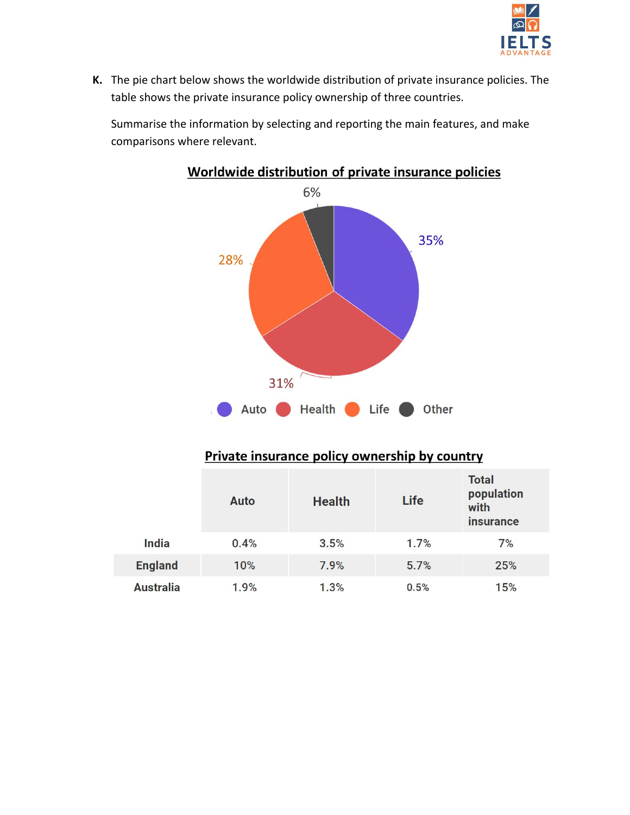

**K.** The pie chart below shows the worldwide distribution of private insurance policies. The table shows the private insurance policy ownership of three countries.

Summarise the information by selecting and reporting the main features, and make comparisons where relevant.



# Worldwide distribution of private insurance policies

# Private insurance policy ownership by country

|                  | Auto | <b>Health</b> | Life | <b>Total</b><br>population<br>with<br><i>insurance</i> |
|------------------|------|---------------|------|--------------------------------------------------------|
| <b>India</b>     | 0.4% | 3.5%          | 1.7% | 7%                                                     |
| <b>England</b>   | 10%  | 7.9%          | 5.7% | 25%                                                    |
| <b>Australia</b> | 1.9% | 1.3%          | 0.5% | 15%                                                    |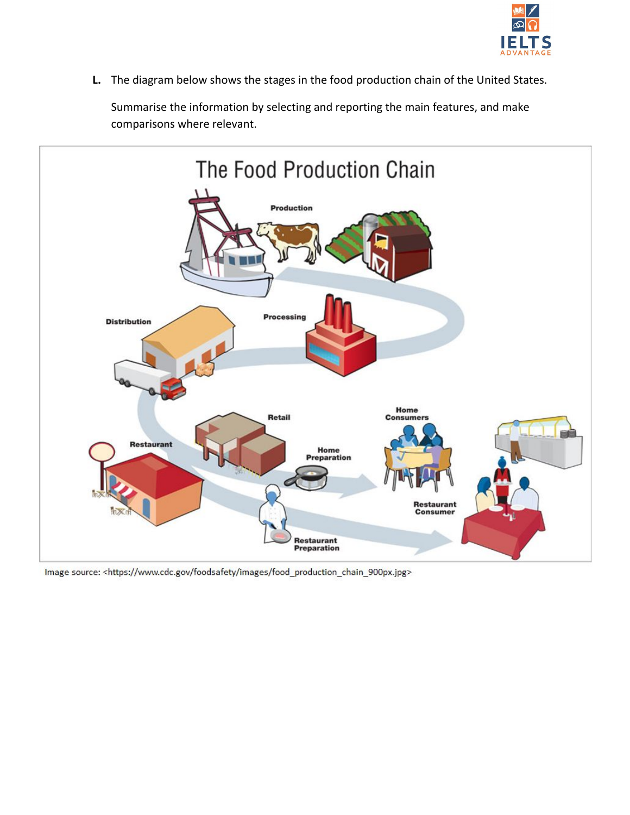

**L.** The diagram below shows the stages in the food production chain of the United States.



Image source: <https://www.cdc.gov/foodsafety/images/food\_production\_chain\_900px.jpg>